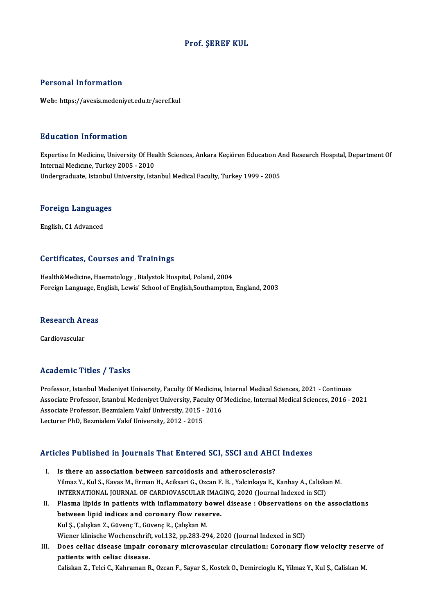#### Prof. ŞEREF KUL

#### Personal Information

Web: https://avesis.medeniyet.edu.tr/seref.kul

#### Education Information

E**ducation Information**<br>Expertise In Medicine, University Of Health Sciences, Ankara Keçiören Education And Research Hospital, Department Of<br>Internal Medisine, Turkey 2005 - 2010 Expertise In Medicine, University Of Hear<br>Internal Medicine, University Of Hea<br>Indergraduate Jatanbul University Ista Expertise In Medicine, University Of Health Sciences, Ankara Keçiören Education A<br>Internal Medicine, Turkey 2005 - 2010<br>Undergraduate, Istanbul University, Istanbul Medical Faculty, Turkey 1999 - 2005

# <sub>ondergraduate, istanbul</sub><br>Foreign Languages <mark>Foreign Languag</mark>e<br>English, C1 Advanced

# English, C1 Advanced<br>Certificates, Courses and Trainings

Health&Medicine, Haematology, Bialystok Hospital, Poland, 2004 Foreign Language, English, Lewis' School of English,Southampton, England, 2003

# roreign Language, E<br>Research Areas Re<mark>search Ar</mark><br>Cardiovascular

# Cardiovascular<br>Academic Titles / Tasks

Academic Titles / Tasks<br>Professor, Istanbul Medeniyet University, Faculty Of Medicine, Internal Medical Sciences, 2021 - Continues<br>Assesiste Professor, Istanbul Medeniyet University, Faculty Of Medicine, Internal Medical S Associate Professor, Istanbul Medeniyet University, Faculty Of Medicine, Internal Medical Sciences, 2016 - 2021<br>Associate Professor, Bezmialem Vakıf University, 2015 - 2016 Professor, Istanbul Medeniyet University, Faculty Of Medicine,<br>Associate Professor, Istanbul Medeniyet University, Faculty Of<br>Associate Professor, Bezmialem Vakıf University, 2015 - 2016<br>Lestunar PhD, Bezmialem Vakıf Unive Lecturer PhD, Bezmialem Vakıf University, 2012 - 2015

# Lecturer PhD, Bezmialem vakil University, 2012 - 2015<br>Articles Published in Journals That Entered SCI, SSCI and AHCI Indexes

- rticles Published in Journals That Entered SCI, SSCI and AHC<br>I. Is there an association between sarcoidosis and atherosclerosis?<br>Vilmas V. Vul S. Kauas M. Erman H. Asikaari G. Ozean E. B. Valsinkaus E. I. Is there an association between sarcoidosis and atherosclerosis?<br>Yilmaz Y., Kul S., Kavas M., Erman H., Aciksari G., Ozcan F. B. , Yalcinkaya E., Kanbay A., Caliskan M. Is there an association between sarcoidosis and atherosclerosis?<br>Yilmaz Y., Kul S., Kavas M., Erman H., Aciksari G., Ozcan F. B. , Yalcinkaya E., Kanbay A., Caliska<br>INTERNATIONAL JOURNAL OF CARDIOVASCULAR IMAGING, 2020 (Jo
- II. Plasma lipids in patients with inflammatory bowel disease : Observations on the associations between lipid indices and coronary flow reserve. INTERNATIONAL JOURNAL OF CARDIOVASCULAR IMAG<br>Plasma lipids in patients with inflammatory bowe<br>between lipid indices and coronary flow reserve.<br>Kul S. Cakekan 7, Güyene T. Güyene B. Cakekan M Kul Ş., Çalışkan Z., Güvenç T., Güvenç R., Çalışkan M. Wiener klinische Wochenschrift, vol.132, pp.283-294, 2020 (Journal Indexed in SCI) Kul Ş., Çalışkan Z., Güvenç T., Güvenç R., Çalışkan M.<br>Wiener klinische Wochenschrift, vol.132, pp.283-294, 2020 (Journal Indexed in SCI)<br>III. Does celiac disease impair coronary microvascular circulation: Coronary flo
- Wiener klinische Wochenschrift<br>Does celiac disease impair c<br>patients with celiac disease.<br>Celiakan 7, Taki C. Kahnaman P Does celiac disease impair coronary microvascular circulation: Coronary flow velocity reser<br>patients with celiac disease.<br>Caliskan Z., Telci C., Kahraman R., Ozcan F., Sayar S., Kostek O., Demircioglu K., Yilmaz Y., Kul Ş.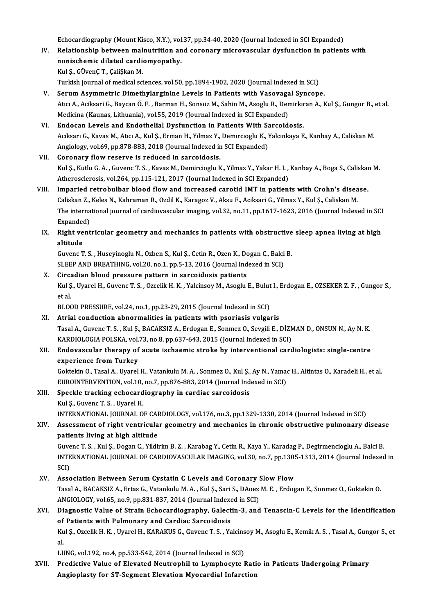Echocardiography (Mount Kisco, N.Y.), vol.37, pp.34-40, 2020 (Journal Indexed in SCI Expanded)<br>Relationship between malnutrition and concuery microwascular dysfunction in patient

IV. Relationship between malnutrition and coronary microvascular dysfunction in patients with nonischemic dilated cardiomyopathy. Echocardiography (Mount Kisco, N.Y.), vol<br>Relationship between malnutrition an<br>nonischemic dilated cardiomyopathy.<br>Wel S. CürenC.T. CaliSkap M KulŞ.,GÜvenÇT.,ÇaliŞkanM.

Turkish journal of medical sciences, vol.50, pp.1894-1902, 2020 (Journal Indexed in SCI)

- V. SerumAsymmetric Dimethylarginine Levels in Patients with Vasovagal Syncope. Turkish journal of medical sciences, vol.50, pp.1894-1902, 2020 (Journal Indexed in SCI)<br>Serum Asymmetric Dimethylarginine Levels in Patients with Vasovagal Syncope.<br>Atıcı A., Aciksari G., Baycan Ö. F. , Barman H., Sonsöz Serum Asymmetric Dimethylarginine Levels in Patients with Vasovaga<br>Atıcı A., Aciksari G., Baycan Ö. F. , Barman H., Sonsöz M., Sahin M., Asoglu R., Den<br>Medicina (Kaunas, Lithuania), vol.55, 2019 (Journal Indexed in SCI Exp Medicina (Kaunas, Lithuania), vol.55, 2019 (Journal Indexed in SCI Expanded)<br>VI. Endocan Levels and Endothelial Dysfunction in Patients With Sarcoidosis.
- Medicina (Kaunas, Lithuania), vol.55, 2019 (Journal Indexed in SCI Expanded)<br><mark>Endocan Levels and Endothelial Dysfunction in Patients With Sarcoidosis.</mark><br>Acıksarı G., Kavas M., Atıcı A., Kul Ş., Erman H., Yılmaz Y., Demırcıo Endocan Levels and Endothelial Dysfunction in Patients With Sangle (Acksarı G., Kavas M., Atıcı A., Kul Ş., Erman H., Yılmaz Y., Demircioglu K., Y., Angiology, vol.69, pp.878-883, 2018 (Journal Indexed in SCI Expanded)<br>Car Acıksarı G., Kavas M., Atıcı A., Kul Ş., Erman H., Yılmaz Y.,<br>Angiology, vol.69, pp.878-883, 2018 (Journal Indexed in<br>VII. Coronary flow reserve is reduced in sarcoidosis.<br>Vul S. Kuthy C.A., Cuyong T. S., Kayas M. Demingie
- Angiology, vol.69, pp.878-883, 2018 (Journal Indexed in SCI Expanded)<br>VII. Coronary flow reserve is reduced in sarcoidosis.<br>Kul Ş., Kutlu G. A. , Guvenc T. S. , Kavas M., Demircioglu K., Yilmaz Y., Yakar H. I. , Kanbay Atherosclerosis, vol.264, pp.115-121, 2017 (Journal Indexed in SCI Expanded) Kul Ş., Kutlu G. A., Guvenc T. S., Kavas M., Demircioglu K., Yilmaz Y., Yakar H. I., Kanbay A., Boga S., Caliskar<br>Atherosclerosis, vol.264, pp.115-121, 2017 (Journal Indexed in SCI Expanded)<br>VIII. Imparied retrobulbar bloo
- Atherosclerosis, vol.264, pp.115-121, 2017 (Journal Indexed in SCI Expanded)<br>Imparied retrobulbar blood flow and increased carotid IMT in patients with Crohn's disea<br>Caliskan Z., Keles N., Kahraman R., Ozdil K., Karagoz V. Imparied retrobulbar blood flow and increased carotid IMT in patients with Crohn's disease.<br>Caliskan Z., Keles N., Kahraman R., Ozdil K., Karagoz V., Aksu F., Aciksari G., Yilmaz Y., Kul Ş., Caliskan M.<br>The international j Caliskan Z.,<br>The interna<br>Expanded)<br>Picht vont The international journal of cardiovascular imaging, vol.32, no.11, pp.1617-1623, 2016 (Journal Indexed in SCI<br>Expanded)<br>IX. Right ventricular geometry and mechanics in patients with obstructive sleep apnea living at high<br>
- Expanded<br>Right ve<br>altitude<br>Guvers T Right ventricular geometry and mechanics in patients with obstructive<br>altitude<br>Guvenc T. S. , Huseyinoglu N., Ozben S., Kul Ş., Cetin R., Ozen K., Dogan C., Balci B.<br>SLEER AND PREATHING vol 20, no 1, nn 5, 12, 2016 (Journa

altitude<br>Guvenc T. S. , Huseyinoglu N., Ozben S., Kul Ş., Cetin R., Ozen K., Dogan C., Balci B.<br>SLEEP AND BREATHING, vol.20, no.1, pp.5-13, 2016 (Journal Indexed in SCI) Guvenc T. S., Huseyinoglu N., Ozben S., Kul Ş., Cetin R., Ozen K., D.<br>SLEEP AND BREATHING, vol.20, no.1, pp.5-13, 2016 (Journal Ind<br>X. Circadian blood pressure pattern in sarcoidosis patients<br>Kul S. Uvarel H. Guvenc T. S.,

SLEEP AND BREATHING, vol.20, no.1, pp.5-13, 2016 (Journal Indexed in SCI)<br>Circadian blood pressure pattern in sarcoidosis patients<br>Kul Ş., Uyarel H., Guvenc T. S. , Ozcelik H. K. , Yalcinsoy M., Asoglu E., Bulut I., Erdoga Circa<br>Kul Ş<br>et al.<br>PLOC Kul Ș., Uyarel H., Guvenc T. S. , Ozcelik H. K. , Yalcinsoy M., Asoglu E., Bulut<br>et al.<br>BLOOD PRESSURE, vol.24, no.1, pp.23-29, 2015 (Journal Indexed in SCI)<br>Atrial conduction abnormalities in patients with peoriesis wulse

et al.<br>BLOOD PRESSURE, vol.24, no.1, pp.23-29, 2015 (Journal Indexed in SCI)<br>XI. Atrial conduction abnormalities in patients with psoriasis vulgaris

TasalA.,GuvencT.S. ,KulŞ.,BACAKSIZA.,ErdoganE.,SonmezO.,SevgiliE.,DİZMAND.,ONSUNN.,AyN.K. Atrial conduction abnormalities in patients with psoriasis vulgaris<br>Tasal A., Guvenc T. S. , Kul Ş., BACAKSIZ A., Erdogan E., Sonmez O., Sevgili E., DİZN<br>KARDIOLOGIA POLSKA, vol.73, no.8, pp.637-643, 2015 (Journal Indexed

#### XII. Endovascular therapy of acute ischaemic stroke by interventional cardiologists: single-centre<br>experience from Turkey KARDIOLOGIA POLSKA, vol.<br>Endovascular therapy of<br>experience from Turkey Endovascular therapy of acute ischaemic stroke by interventional cardiologists: single-centre<br>experience from Turkey<br>Goktekin O., Tasal A., Uyarel H., Vatankulu M. A. , Sonmez O., Kul Ş., Ay N., Yamac H., Altintas O., Kara

experience from Turkey<br>Goktekin O., Tasal A., Uyarel H., Vatankulu M. A. , Sonmez O., Kul Ş., Ay N., Yama<br>EUROINTERVENTION, vol.10, no.7, pp.876-883, 2014 (Journal Indexed in SCI)<br>Speekle tracking eshesendiesraphy in sandi EUROINTERVENTION, vol.10, no.7, pp.876-883, 2014 (Journal Indexed in SCI)<br>XIII. Speckle tracking echocardiography in cardiac sarcoidosis

## KulŞ.,GuvencT.S. ,UyarelH.

INTERNATIONAL JOURNAL OF CARDIOLOGY, vol.176, no.3, pp.1329-1330, 2014 (Journal Indexed in SCI)

## Kul Ş., Guvenc T. S. , Uyarel H.<br>INTERNATIONAL JOURNAL OF CARDIOLOGY, vol.176, no.3, pp.1329-1330, 2014 (Journal Indexed in SCI)<br>XIV. Assessment of right ventricular geometry and mechanics in chronic obstructive pulmon INTERNATIONAL JOURNAL OF CAI<br>Assessment of right ventricula<br>patients living at high altitude<br>Cuvens T.S., Kul S. Desan C. Vildi Assessment of right ventricular geometry and mechanics in chronic obstructive pulmonary diseas<br>patients living at high altitude<br>Guvenc T. S. , Kul Ş., Dogan C., Yildirim B. Z. , Karabag Y., Cetin R., Kaya Y., Karadag P., D

patients living at high altitude<br>Guvenc T. S., Kul Ș., Dogan C., Yildirim B. Z., Karabag Y., Cetin R., Kaya Y., Karadag P., Degirmencioglu A., Balci B.<br>INTERNATIONAL JOURNAL OF CARDIOVASCULAR IMAGING, vol.30, no.7, pp.1305 Guvenc T. S., Kul S., Dogan C., Yildirim B. Z., Karabag Y., Cetin R., Kaya Y., Karadag P., Degirmencioglu A., Balci B.

#### XV. Association Between Serum Cystatin C Levels and Coronary Slow Flow SCI)<br>Association Between Serum Cystatin C Levels and Coronary Slow Flow<br>Tasal A., BACAKSIZ A., Ertas G., Vatankulu M. A. , Kul Ş., Sari S., DAoez M. E. , Erdogan E., Sonmez O., Goktekin O.<br>ANGIQLOCY XRLÉE RO.9, PR.931, 927 Association Between Serum Cystatin C Levels and Coronary !<br>Tasal A., BACAKSIZ A., Ertas G., Vatankulu M. A. , Kul Ș., Sari S., DAoez<br>ANGIOLOGY, vol.65, no.9, pp.831-837, 2014 (Journal Indexed in SCI)<br>Diagnostia Valve of St Tasal A., BACAKSIZ A., Ertas G., Vatankulu M. A. , Kul Ş., Sari S., DAoez M. E. , Erdogan E., Sonmez O., Goktekin O.<br>ANGIOLOGY, vol.65, no.9, pp.831-837, 2014 (Journal Indexed in SCI)<br>XVI. Diagnostic Value of Strain Echoca

#### ANGIOLOGY, vol.65, no.9, pp.831-837, 2014 (Journal Indexed in SCI)<br>XVI. Diagnostic Value of Strain Echocardiography, Galectin-3, and Tenascin-C Levels for the Identification<br>of Patients with Pulmonary and Cardiac Sarcoidos Diagnostic Value of Strain Echocardiography, Galectin-3, and Tenascin-C Levels for the Identification<br>of Patients with Pulmonary and Cardiac Sarcoidosis<br>Kul Ş., Ozcelik H. K. , Uyarel H., KARAKUS G., Guvenc T. S. , Yalcins of<br>Ku<br>al Kul Ș., Ozcelik H. K. , Uyarel H., KARAKUS G., Guvenc T. S. , Yalcins<br>al.<br>LUNG, vol.192, no.4, pp.533-542, 2014 (Journal Indexed in SCI)<br>Predistive Value ef Elevated Neutrephil to Jumphesute J

al.<br>LUNG, vol.192, no.4, pp.533-542, 2014 (Journal Indexed in SCI)<br>XVII. Predictive Value of Elevated Neutrophil to Lymphocyte Ratio in Patients Undergoing Primary<br>Angionlesty for ST Segment Elevation Myogondial Inforation LUNG, vol.192, no.4, pp.533-542, 2014 (Journal Indexed in SCI)<br>Predictive Value of Elevated Neutrophil to Lymphocyte Rati<br>Angioplasty for ST-Segment Elevation Myocardial Infarction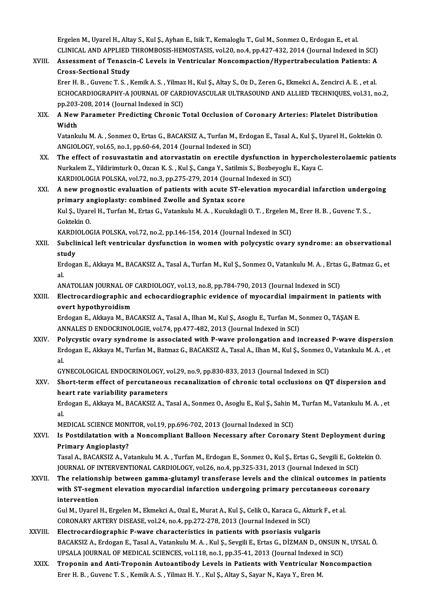Ergelen M., Uyarel H., Altay S., Kul Ş., Ayhan E., Isik T., Kemaloglu T., Gul M., Sonmez O., Erdogan E., et al. Ergelen M., Uyarel H., Altay S., Kul Ş., Ayhan E., Isik T., Kemaloglu T., Gul M., Sonmez O., Erdogan E., et al<br>CLINICAL AND APPLIED THROMBOSIS-HEMOSTASIS, vol.20, no.4, pp.427-432, 2014 (Journal Indexed in SCI)<br>Assessment Ergelen M., Uyarel H., Altay S., Kul Ş., Ayhan E., Isik T., Kemaloglu T., Gul M., Sonmez O., Erdogan E., et al.<br>CLINICAL AND APPLIED THROMBOSIS-HEMOSTASIS, vol.20, no.4, pp.427-432, 2014 (Journal Indexed in SCI)<br>XVIII. Ass

## CLINICAL AND APPLIED<br>Assessment of Tenasci<br>Cross-Sectional Study<br>Fror H. B. Guyona T. S. J Assessment of Tenascin-C Levels in Ventricular Noncompaction/Hypertrabeculation Patients: A<br>Cross-Sectional Study<br>Erer H. B., Guvenc T. S., Kemik A. S., Yilmaz H., Kul Ş., Altay S., Oz D., Zeren G., Ekmekci A., Zencirci A.

Cross-Sectional Study<br>Erer H. B. , Guvenc T. S. , Kemik A. S. , Yilmaz H., Kul Ş., Altay S., Oz D., Zeren G., Ekmekci A., Zencirci A. E. , et al.<br>ECHOCARDIOGRAPHY-A JOURNAL OF CARDIOVASCULAR ULTRASOUND AND ALLIED TECHNIQUE Erer H. B., Guvenc T. S., Kemik A. S., Yilmaz<br>ECHOCARDIOGRAPHY-A JOURNAL OF CARI<br>pp.203-208, 2014 (Journal Indexed in SCI)<br>A Now Barameter Predicting Chronic T pp.203-208, 2014 (Journal Indexed in SCI)

### XIX. A NewParameter Predicting Chronic Total Occlusion of Coronary Arteries: Platelet Distribution A New Parameter Predicting Chronic Total Occlusion of Coronary Arteries: Platelet Distribution<br>Width<br>Vatankulu M. A. , Sonmez O., Ertas G., BACAKSIZ A., Turfan M., Erdogan E., Tasal A., Kul Ş., Uyarel H., Goktekin O.<br>ANCIO

Width<br>Vatankulu M. A. , Sonmez O., Ertas G., BACAKSIZ A., Turfan M., Erdo<br>ANGIOLOGY, vol.65, no.1, pp.60-64, 2014 (Journal Indexed in SCI)<br>The effect of nosuwestatin and atervestatin on exectile dus. Vatankulu M. A., Sonmez O., Ertas G., BACAKSIZ A., Turfan M., Erdogan E., Tasal A., Kul Ș., Uyarel H., Goktekin O.<br>ANGIOLOGY, vol.65, no.1, pp.60-64, 2014 (Journal Indexed in SCI)<br>XX. The effect of rosuvastatin and atorvas

ANGIOLOGY, vol.65, no.1, pp.60-64, 2014 (Journal Indexed in SCI)<br>The effect of rosuvastatin and atorvastatin on erectile dysfunction in hypercholesterolaemic patients<br>Nurkalem Z., Yildirimturk O., Ozcan K. S. , Kul Ş., Can The effect of rosuvastatin and atorvastatin on erectile dysfunction in h<br>Nurkalem Z., Yildirimturk O., Ozcan K. S. , Kul Ş., Canga Y., Satilmis S., Bozbeyoglu<br>KARDIOLOGIA POLSKA, vol.72, no.3, pp.275-279, 2014 (Journal Ind

#### XXI. A new prognostic evaluation of patients with acute ST-elevation myocardial infarction undergoing<br>primary angioplasty: combined Zwolle and Syntax score KARDIOLOGIA POLSKA, vol.72, no.3, pp.275-279, 2014 (Journal<br>A new prognostic evaluation of patients with acute ST-el<br>primary angioplasty: combined Zwolle and Syntax score<br>Kul S. Uranal H. Turfon M. Extas G. Vataplash M. A. A new prognostic evaluation of patients with acute ST-elevation myocardial infarction underg<br>primary angioplasty: combined Zwolle and Syntax score<br>Kul Ş., Uyarel H., Turfan M., Ertas G., Vatankulu M. A. , Kucukdagli O. T.

pr<mark>imary al</mark><br>Kul Ş., Uyar<br>Goktekin O.<br>KARDIOLOG Kul Ș., Uyarel H., Turfan M., Ertas G., Vatankulu M. A. , Kucukdagli O. T. , Ergelen M<br>Goktekin O.<br>KARDIOLOGIA POLSKA, vol.72, no.2, pp.146-154, 2014 (Journal Indexed in SCI)<br>Subelinisel left vontrisular dusfunction in vro

Goktekin 0.<br>KARDIOLOGIA POLSKA, vol.72, no.2, pp.146-154, 2014 (Journal Indexed in SCI)<br>XXII. Subclinical left ventricular dysfunction in women with polycystic ovary syndrome: an observational<br> KARDI<br>Subcli<br>study<br><sup>Erdogs</sup> Subclinical left ventricular dysfunction in women with polycystic ovary syndrome: an observational<br>study<br>Erdogan E., Akkaya M., BACAKSIZ A., Tasal A., Turfan M., Kul Ş., Sonmez O., Vatankulu M. A. , Ertas G., Batmaz G., et

sti<br>Er<br>al. Erdogan E., Akkaya M., BACAKSIZ A., Tasal A., Turfan M., Kul Ş., Sonmez O., Vatankulu M. A. , Ertas G., Batmaz G., et<br>al.

ANATOLIAN JOURNAL OF CARDIOLOGY, vol.13, no.8, pp.784-790, 2013 (Journal Indexed in SCI)

### XXIII. Electrocardiographic and echocardiographic evidence of myocardial impairment in patients with<br>overt hypothyroidism Electrocardiographic and echocardiographic evidence of myocardial impairment in patient<br>overt hypothyroidism<br>Erdogan E., Akkaya M., BACAKSIZ A., Tasal A., Ilhan M., Kul Ş., Asoglu E., Turfan M., Sonmez O., TAŞAN E.<br>ANNALES

overt hypothyroidism<br>Erdogan E., Akkaya M., BACAKSIZ A., Tasal A., Ilhan M., Kul Ş., Asoglu E., Turfan M., S<br>ANNALES D ENDOCRINOLOGIE, vol.74, pp.477-482, 2013 (Journal Indexed in SCI)<br>Polygystia overw syndromo is assosiat Erdogan E., Akkaya M., BACAKSIZ A., Tasal A., Ilhan M., Kul Ş., Asoglu E., Turfan M., Sonmez O., TAŞAN E.<br>ANNALES D ENDOCRINOLOGIE, vol.74, pp.477-482, 2013 (Journal Indexed in SCI)<br>XXIV. Polycystic ovary syndrome is assoc

ANNALES D ENDOCRINOLOGIE, vol.74, pp.477-482, 2013 (Journal Indexed in SCI)<br>Polycystic ovary syndrome is associated with P-wave prolongation and increased P-wave dispersion<br>Erdogan E., Akkaya M., Turfan M., Batmaz G., BACA Po<br>Er<br>al. Erdogan E., Akkaya M., Turfan M., Batmaz G., BACAKSIZ A., Tasal A., Ilhan M., Kul Ş., Sonmez O.<br>al.<br>GYNECOLOGICAL ENDOCRINOLOGY, vol.29, no.9, pp.830-833, 2013 (Journal Indexed in SCI)<br>Short term offect of nongutaneous rec

### XXV. Short-term effect of percutaneous recanalization of chronic total occlusions on QT dispersion and heart rate variability parameters GYNECOLOGICAL ENDOCRINOLOGY, v<br>Short-term effect of percutaneou:<br>heart rate variability parameters

Erdogan E., Akkaya M., BACAKSIZ A., Tasal A., Sonmez O., Asoglu E., Kul Ş., Sahin M., Turfan M., Vatankulu M. A. , et<br>al. he<br>Er<br>al. Erdogan E., Akkaya M., BACAKSIZ A., Tasal A., Sonmez O., Asoglu E., Kul Ș., Sahin M<br>al.<br>MEDICAL SCIENCE MONITOR, vol.19, pp.696-702, 2013 (Journal Indexed in SCI)<br>Is Bostdilatation with a Nonsompliant Balloon Nossesary aft

## al.<br>MEDICAL SCIENCE MONITOR, vol.19, pp.696-702, 2013 (Journal Indexed in SCI)<br>XXVI. Is Postdilatation with a Noncompliant Balloon Necessary after Coronary Stent Deployment during<br>Primary Angionlasty? MEDICAL SCIENCE MON<br>Is Postdilatation with<br>Primary Angioplasty?<br>Tasal A. PACAKSIZ A. Va Is Postdilatation with a Noncompliant Balloon Necessary after Coronary Stent Deployment durin<br>Primary Angioplasty?<br>Tasal A., BACAKSIZ A., Vatankulu M. A. , Turfan M., Erdogan E., Sonmez O., Kul Ș., Ertas G., Sevgili E., Go

Pri<mark>mary Angioplasty?</mark><br>Tasal A., BACAKSIZ A., Vatankulu M. A. , Turfan M., Erdogan E., Sonmez O., Kul Ş., Ertas G., Sevgili E., Gokt<br>JOURNAL OF INTERVENTIONAL CARDIOLOGY, vol.26, no.4, pp.325-331, 2013 (Journal Indexed in Tasal A., BACAKSIZ A., Vatankulu M. A. , Turfan M., Erdogan E., Sonmez O., Kul Ș., Ertas G., Sevgili E., Goktekin O.<br>JOURNAL OF INTERVENTIONAL CARDIOLOGY, vol.26, no.4, pp.325-331, 2013 (Journal Indexed in SCI)<br>XXVII. The

JOURNAL OF INTERVENTIONAL CARDIOLOGY, vol.26, no.4, pp.325-331, 2013 (Journal Indexed in SCI)<br>The relationship between gamma-glutamyl transferase levels and the clinical outcomes in pati<br>with ST-segment elevation myocardia The relations<br>with ST-segm<br>intervention<br>Cul M. Urazel with ST-segment elevation myocardial infarction undergoing primary percutaneous co<br>intervention<br>Gul M., Uyarel H., Ergelen M., Ekmekci A., Ozal E., Murat A., Kul Ş., Celik O., Karaca G., Akturk F., et al.<br>CORONARY ARTERY D

intervention<br>Gul M., Uyarel H., Ergelen M., Ekmekci A., Ozal E., Murat A., Kul Ş., Celik O., Karaca G., Akturk F., et al.<br>CORONARY ARTERY DISEASE, vol.24, no.4, pp.272-278, 2013 (Journal Indexed in SCI)

- XXVIII. Electrocardiographic P-wave characteristics in patients with psoriasis vulgaris CORONARY ARTERY DISEASE, vol.24, no.4, pp.272-278, 2013 (Journal Indexed in SCI)<br>Electrocardiographic P-wave characteristics in patients with psoriasis vulgaris<br>BACAKSIZ A., Erdogan E., Tasal A., Vatankulu M. A. , Kul Ș., Electrocardiographic P-wave characteristics in patients with psoriasis vulgaris<br>BACAKSIZ A., Erdogan E., Tasal A., Vatankulu M. A. , Kul Ș., Sevgili E., Ertas G., DİZMAN D., ONSUN N<br>UPSALA JOURNAL OF MEDICAL SCIENCES, vol. UPSALA JOURNAL OF MEDICAL SCIENCES, vol.118, no.1, pp.35-41, 2013 (Journal Indexed in SCI)<br>XXIX. Troponin and Anti-Troponin Autoantibody Levels in Patients with Ventricular Noncompaction
	- Erer H. B., Guvenc T. S., Kemik A. S., Yilmaz H. Y., Kul Ş., Altay S., Sayar N., Kaya Y., Eren M.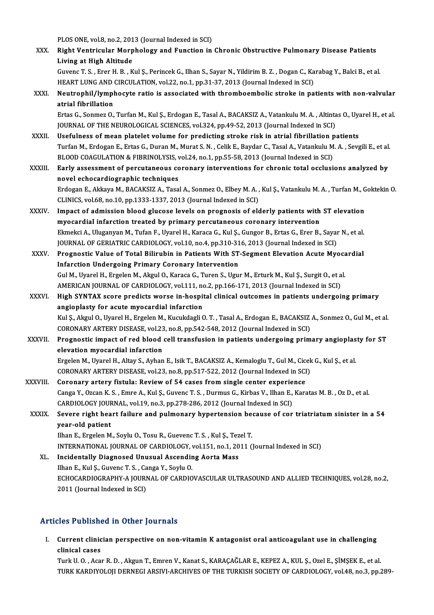PLOS ONE, vol.8, no.2, 2013 (Journal Indexed in SCI)<br>Picht Vontrieular Marnhology and Eunstian in

|              | PLOS ONE, vol.8, no.2, 2013 (Journal Indexed in SCI)                                                                                                                                                |
|--------------|-----------------------------------------------------------------------------------------------------------------------------------------------------------------------------------------------------|
| XXX.         | Right Ventricular Morphology and Function in Chronic Obstructive Pulmonary Disease Patients                                                                                                         |
|              | Living at High Altitude                                                                                                                                                                             |
|              | Guvenc T. S., Erer H. B., Kul Ş., Perincek G., Ilhan S., Sayar N., Yildirim B. Z., Dogan C., Karabag Y., Balci B., et al.                                                                           |
|              | HEART LUNG AND CIRCULATION, vol.22, no.1, pp.31-37, 2013 (Journal Indexed in SCI)                                                                                                                   |
| XXXI.        | Neutrophil/lymphocyte ratio is associated with thromboembolic stroke in patients with non-valvular                                                                                                  |
|              | atrial fibrillation                                                                                                                                                                                 |
|              | Ertas G., Sonmez O., Turfan M., Kul Ş., Erdogan E., Tasal A., BACAKSIZ A., Vatankulu M. A., Altintas O., Uyarel H., et al.                                                                          |
|              | JOURNAL OF THE NEUROLOGICAL SCIENCES, vol.324, pp.49-52, 2013 (Journal Indexed in SCI)                                                                                                              |
| XXXII.       | Usefulness of mean platelet volume for predicting stroke risk in atrial fibrillation patients                                                                                                       |
|              | Turfan M., Erdogan E., Ertas G., Duran M., Murat S. N., Celik E., Baydar C., Tasal A., Vatankulu M. A., Sevgili E., et al.                                                                          |
|              | BLOOD COAGULATION & FIBRINOLYSIS, vol.24, no.1, pp.55-58, 2013 (Journal Indexed in SCI)                                                                                                             |
| XXXIII.      | Early assessment of percutaneous coronary interventions for chronic total occlusions analyzed by                                                                                                    |
|              | novel echocardiographic techniques                                                                                                                                                                  |
|              | Erdogan E., Akkaya M., BACAKSIZ A., Tasal A., Sonmez O., Elbey M. A., Kul S., Vatankulu M. A., Turfan M., Goktekin O.                                                                               |
|              | CLINICS, vol.68, no.10, pp.1333-1337, 2013 (Journal Indexed in SCI)                                                                                                                                 |
| <b>XXXIV</b> | Impact of admission blood glucose levels on prognosis of elderly patients with ST elevation                                                                                                         |
|              | myocardial infarction treated by primary percutaneous coronary intervention                                                                                                                         |
|              | Ekmekci A., Uluganyan M., Tufan F., Uyarel H., Karaca G., Kul Ş., Gungor B., Ertas G., Erer B., Sayar N., et al.                                                                                    |
|              | JOURNAL OF GERIATRIC CARDIOLOGY, vol.10, no.4, pp.310-316, 2013 (Journal Indexed in SCI)                                                                                                            |
| XXXV.        | Prognostic Value of Total Bilirubin in Patients With ST-Segment Elevation Acute Myocardial                                                                                                          |
|              | <b>Infarction Undergoing Primary Coronary Intervention</b>                                                                                                                                          |
|              | Gul M., Uyarel H., Ergelen M., Akgul O., Karaca G., Turen S., Ugur M., Erturk M., Kul Ş., Surgit O., et al.                                                                                         |
|              | AMERICAN JOURNAL OF CARDIOLOGY, vol.111, no.2, pp.166-171, 2013 (Journal Indexed in SCI)                                                                                                            |
| <b>XXXVI</b> | High SYNTAX score predicts worse in-hospital clinical outcomes in patients undergoing primary                                                                                                       |
|              | angioplasty for acute myocardial infarction                                                                                                                                                         |
|              | Kul Ş., Akgul O., Uyarel H., Ergelen M., Kucukdagli O. T., Tasal A., Erdogan E., BACAKSIZ A., Sonmez O., Gul M., et al.                                                                             |
|              | CORONARY ARTERY DISEASE, vol.23, no.8, pp.542-548, 2012 (Journal Indexed in SCI)                                                                                                                    |
| XXXVII.      | Prognostic impact of red blood cell transfusion in patients undergoing primary angioplasty for ST                                                                                                   |
|              | elevation mvocardial infarction                                                                                                                                                                     |
|              | Ergelen M., Uyarel H., Altay S., Ayhan E., Isik T., BACAKSIZ A., Kemaloglu T., Gul M., Cicek G., Kul Ș., et al.<br>CORONARY ARTERY DISEASE, vol.23, no.8, pp.517-522, 2012 (Journal Indexed in SCI) |
| XXXVIII.     | Coronary artery fistula: Review of 54 cases from single center experience                                                                                                                           |
|              | Canga Y., Ozcan K. S., Emre A., Kul Ş., Guvenc T. S., Durmus G., Kirbas V., Ilhan E., Karatas M. B., Oz D., et al.                                                                                  |
|              | CARDIOLOGY JOURNAL, vol.19, no.3, pp.278-286, 2012 (Journal Indexed in SCI)                                                                                                                         |
| XXXIX.       | Severe right heart failure and pulmonary hypertension because of cor triatriatum sinister in a 54                                                                                                   |
|              | year-old patient                                                                                                                                                                                    |
|              | Ilhan E., Ergelen M., Soylu O., Tosu R., Guevenc T. S., Kul Ş., Tezel T.                                                                                                                            |
|              | INTERNATIONAL JOURNAL OF CARDIOLOGY, vol.151, no.1, 2011 (Journal Indexed in SCI)                                                                                                                   |
| XL.          | Incidentally Diagnosed Unusual Ascending Aorta Mass                                                                                                                                                 |
|              | Ilhan E., Kul Ş., Guvenc T. S., Canga Y., Soylu O.                                                                                                                                                  |
|              | ECHOCARDIOGRAPHY-A JOURNAL OF CARDIOVASCULAR ULTRASOUND AND ALLIED TECHNIQUES, vol.28, no.2,                                                                                                        |
|              | 2011 (Journal Indexed in SCI)                                                                                                                                                                       |

#### Articles Published in Other Journals

rticles Published in Other Journals<br>I. Current clinician perspective on non-vitamin K antagonist oral anticoagulant use in challenging<br>clinical cases cles a distinct<br>Current clinic<br>Clinical cases

clinical cases<br>Turk U. O. , Acar R. D. , Akgun T., Emren V., Kanat S., KARAÇAĞLAR E., KEPEZ A., KUL Ş., Ozel E., ŞİMŞEK E., et al. TURK KARDIYOLOJI DERNEGI ARSIVI-ARCHIVES OF THE TURKISH SOCIETY OF CARDIOLOGY, vol.48, no.3, pp.289